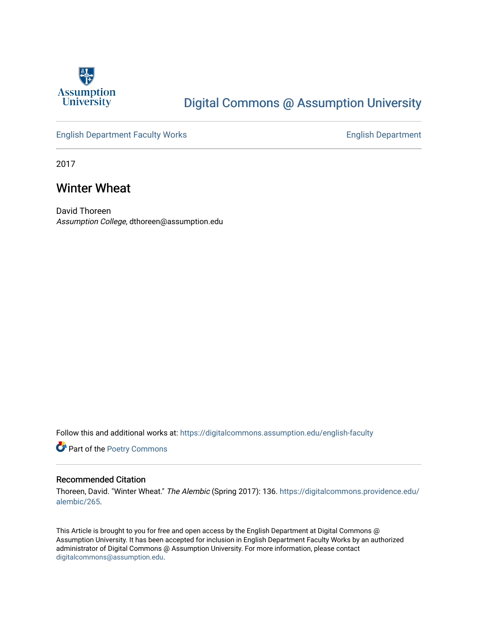

## [Digital Commons @ Assumption University](https://digitalcommons.assumption.edu/)

#### [English Department Faculty Works](https://digitalcommons.assumption.edu/english-faculty) **English Department**

2017

### Winter Wheat

David Thoreen Assumption College, dthoreen@assumption.edu

Follow this and additional works at: [https://digitalcommons.assumption.edu/english-faculty](https://digitalcommons.assumption.edu/english-faculty?utm_source=digitalcommons.assumption.edu%2Fenglish-faculty%2F12&utm_medium=PDF&utm_campaign=PDFCoverPages) 

Part of the [Poetry Commons](http://network.bepress.com/hgg/discipline/1153?utm_source=digitalcommons.assumption.edu%2Fenglish-faculty%2F12&utm_medium=PDF&utm_campaign=PDFCoverPages) 

#### Recommended Citation

Thoreen, David. "Winter Wheat." The Alembic (Spring 2017): 136. [https://digitalcommons.providence.edu/](https://digitalcommons.providence.edu/alembic/265/) [alembic/265](https://digitalcommons.providence.edu/alembic/265/).

This Article is brought to you for free and open access by the English Department at Digital Commons @ Assumption University. It has been accepted for inclusion in English Department Faculty Works by an authorized administrator of Digital Commons @ Assumption University. For more information, please contact [digitalcommons@assumption.edu](mailto:digitalcommons@assumption.edu).